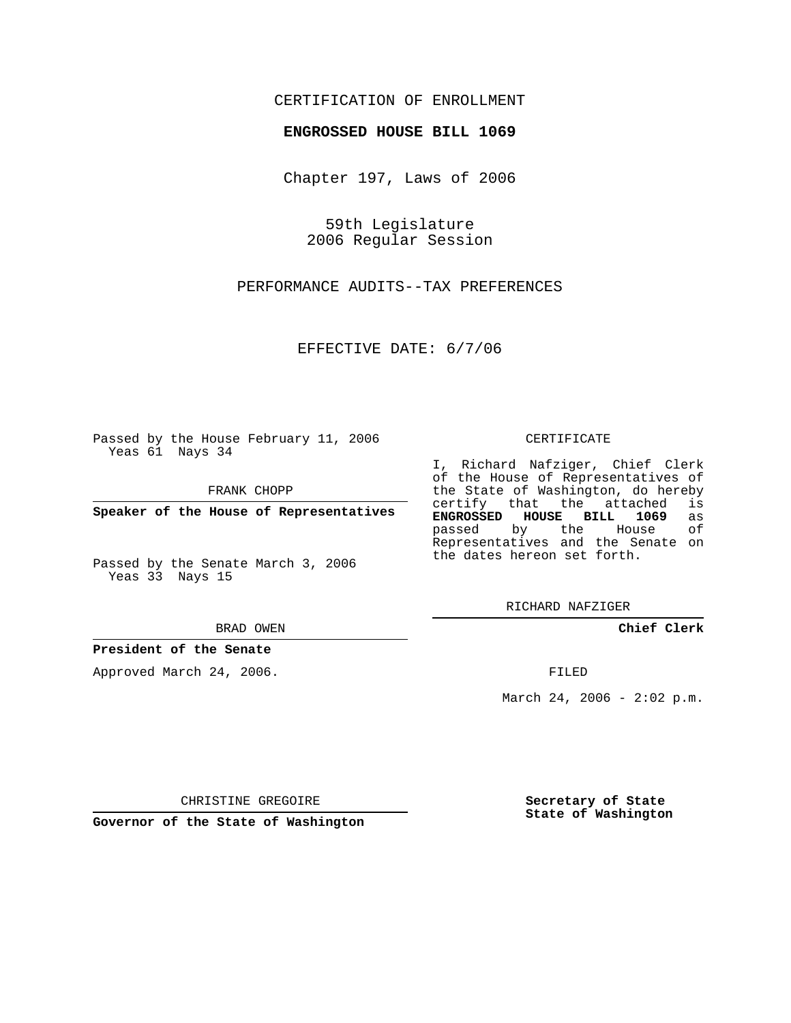## CERTIFICATION OF ENROLLMENT

### **ENGROSSED HOUSE BILL 1069**

Chapter 197, Laws of 2006

59th Legislature 2006 Regular Session

PERFORMANCE AUDITS--TAX PREFERENCES

EFFECTIVE DATE: 6/7/06

Passed by the House February 11, 2006 Yeas 61 Nays 34

FRANK CHOPP

**Speaker of the House of Representatives**

Passed by the Senate March 3, 2006 Yeas 33 Nays 15

#### BRAD OWEN

### **President of the Senate**

Approved March 24, 2006.

#### CERTIFICATE

I, Richard Nafziger, Chief Clerk of the House of Representatives of the State of Washington, do hereby<br>certify that the attached is certify that the attached **ENGROSSED HOUSE BILL 1069** as passed by the House Representatives and the Senate on the dates hereon set forth.

RICHARD NAFZIGER

**Chief Clerk**

FILED

March 24, 2006 -  $2:02$  p.m.

CHRISTINE GREGOIRE

**Governor of the State of Washington**

**Secretary of State State of Washington**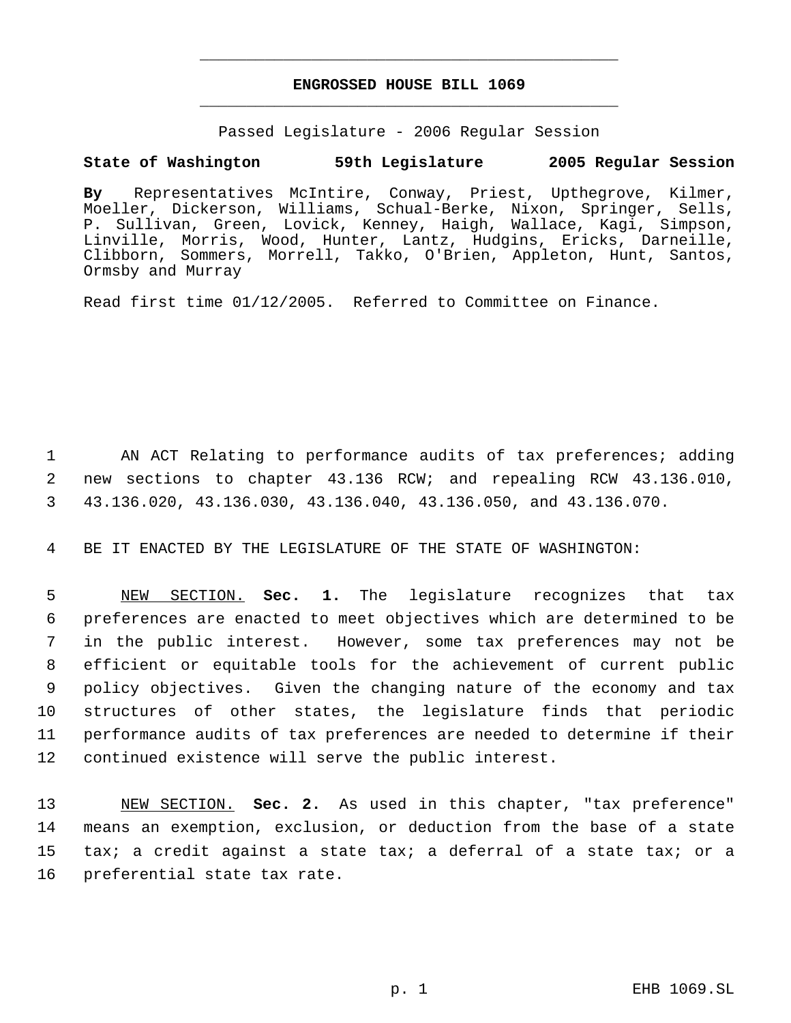# **ENGROSSED HOUSE BILL 1069** \_\_\_\_\_\_\_\_\_\_\_\_\_\_\_\_\_\_\_\_\_\_\_\_\_\_\_\_\_\_\_\_\_\_\_\_\_\_\_\_\_\_\_\_\_

\_\_\_\_\_\_\_\_\_\_\_\_\_\_\_\_\_\_\_\_\_\_\_\_\_\_\_\_\_\_\_\_\_\_\_\_\_\_\_\_\_\_\_\_\_

Passed Legislature - 2006 Regular Session

# **State of Washington 59th Legislature 2005 Regular Session**

**By** Representatives McIntire, Conway, Priest, Upthegrove, Kilmer, Moeller, Dickerson, Williams, Schual-Berke, Nixon, Springer, Sells, P. Sullivan, Green, Lovick, Kenney, Haigh, Wallace, Kagi, Simpson, Linville, Morris, Wood, Hunter, Lantz, Hudgins, Ericks, Darneille, Clibborn, Sommers, Morrell, Takko, O'Brien, Appleton, Hunt, Santos, Ormsby and Murray

Read first time 01/12/2005. Referred to Committee on Finance.

 1 AN ACT Relating to performance audits of tax preferences; adding 2 new sections to chapter 43.136 RCW; and repealing RCW 43.136.010, 3 43.136.020, 43.136.030, 43.136.040, 43.136.050, and 43.136.070.

4 BE IT ENACTED BY THE LEGISLATURE OF THE STATE OF WASHINGTON:

 NEW SECTION. **Sec. 1.** The legislature recognizes that tax preferences are enacted to meet objectives which are determined to be in the public interest. However, some tax preferences may not be efficient or equitable tools for the achievement of current public policy objectives. Given the changing nature of the economy and tax structures of other states, the legislature finds that periodic performance audits of tax preferences are needed to determine if their continued existence will serve the public interest.

 NEW SECTION. **Sec. 2.** As used in this chapter, "tax preference" means an exemption, exclusion, or deduction from the base of a state tax; a credit against a state tax; a deferral of a state tax; or a preferential state tax rate.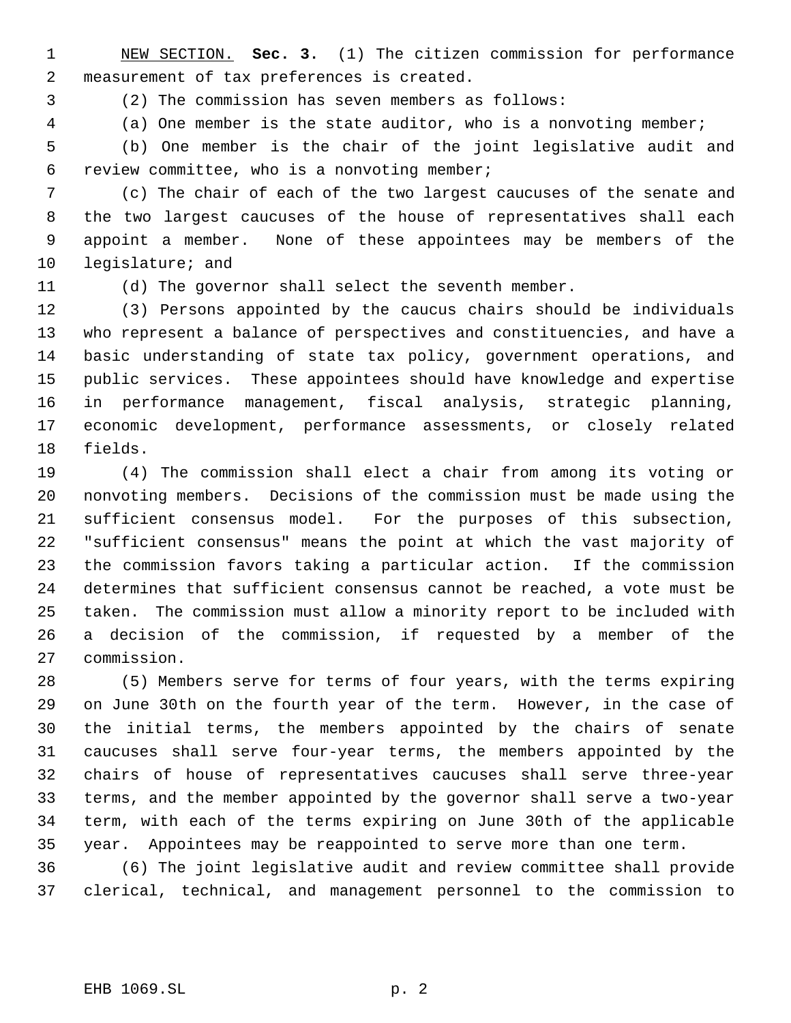NEW SECTION. **Sec. 3.** (1) The citizen commission for performance measurement of tax preferences is created.

(2) The commission has seven members as follows:

(a) One member is the state auditor, who is a nonvoting member;

 (b) One member is the chair of the joint legislative audit and review committee, who is a nonvoting member;

 (c) The chair of each of the two largest caucuses of the senate and the two largest caucuses of the house of representatives shall each appoint a member. None of these appointees may be members of the legislature; and

(d) The governor shall select the seventh member.

 (3) Persons appointed by the caucus chairs should be individuals who represent a balance of perspectives and constituencies, and have a basic understanding of state tax policy, government operations, and public services. These appointees should have knowledge and expertise in performance management, fiscal analysis, strategic planning, economic development, performance assessments, or closely related fields.

 (4) The commission shall elect a chair from among its voting or nonvoting members. Decisions of the commission must be made using the sufficient consensus model. For the purposes of this subsection, "sufficient consensus" means the point at which the vast majority of the commission favors taking a particular action. If the commission determines that sufficient consensus cannot be reached, a vote must be taken. The commission must allow a minority report to be included with a decision of the commission, if requested by a member of the commission.

 (5) Members serve for terms of four years, with the terms expiring on June 30th on the fourth year of the term. However, in the case of the initial terms, the members appointed by the chairs of senate caucuses shall serve four-year terms, the members appointed by the chairs of house of representatives caucuses shall serve three-year terms, and the member appointed by the governor shall serve a two-year term, with each of the terms expiring on June 30th of the applicable year. Appointees may be reappointed to serve more than one term.

 (6) The joint legislative audit and review committee shall provide clerical, technical, and management personnel to the commission to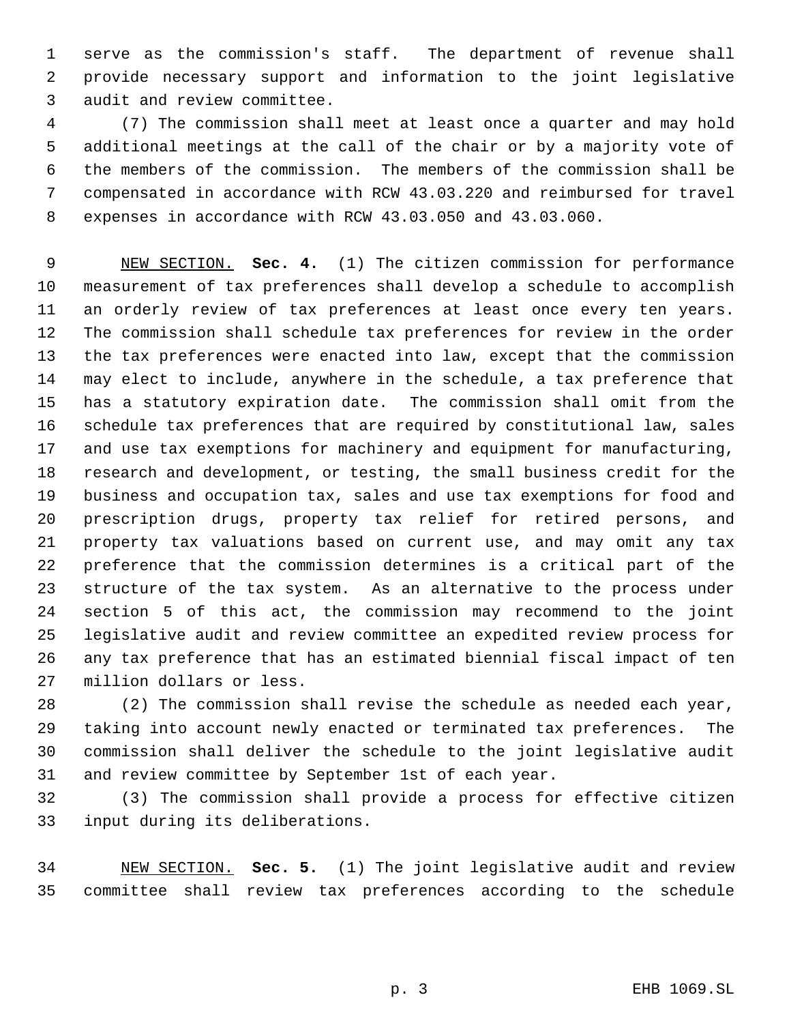serve as the commission's staff. The department of revenue shall provide necessary support and information to the joint legislative audit and review committee.

 (7) The commission shall meet at least once a quarter and may hold additional meetings at the call of the chair or by a majority vote of the members of the commission. The members of the commission shall be compensated in accordance with RCW 43.03.220 and reimbursed for travel expenses in accordance with RCW 43.03.050 and 43.03.060.

 NEW SECTION. **Sec. 4.** (1) The citizen commission for performance measurement of tax preferences shall develop a schedule to accomplish an orderly review of tax preferences at least once every ten years. The commission shall schedule tax preferences for review in the order the tax preferences were enacted into law, except that the commission may elect to include, anywhere in the schedule, a tax preference that has a statutory expiration date. The commission shall omit from the schedule tax preferences that are required by constitutional law, sales and use tax exemptions for machinery and equipment for manufacturing, research and development, or testing, the small business credit for the business and occupation tax, sales and use tax exemptions for food and prescription drugs, property tax relief for retired persons, and property tax valuations based on current use, and may omit any tax preference that the commission determines is a critical part of the structure of the tax system. As an alternative to the process under section 5 of this act, the commission may recommend to the joint legislative audit and review committee an expedited review process for any tax preference that has an estimated biennial fiscal impact of ten million dollars or less.

 (2) The commission shall revise the schedule as needed each year, taking into account newly enacted or terminated tax preferences. The commission shall deliver the schedule to the joint legislative audit and review committee by September 1st of each year.

 (3) The commission shall provide a process for effective citizen input during its deliberations.

 NEW SECTION. **Sec. 5.** (1) The joint legislative audit and review committee shall review tax preferences according to the schedule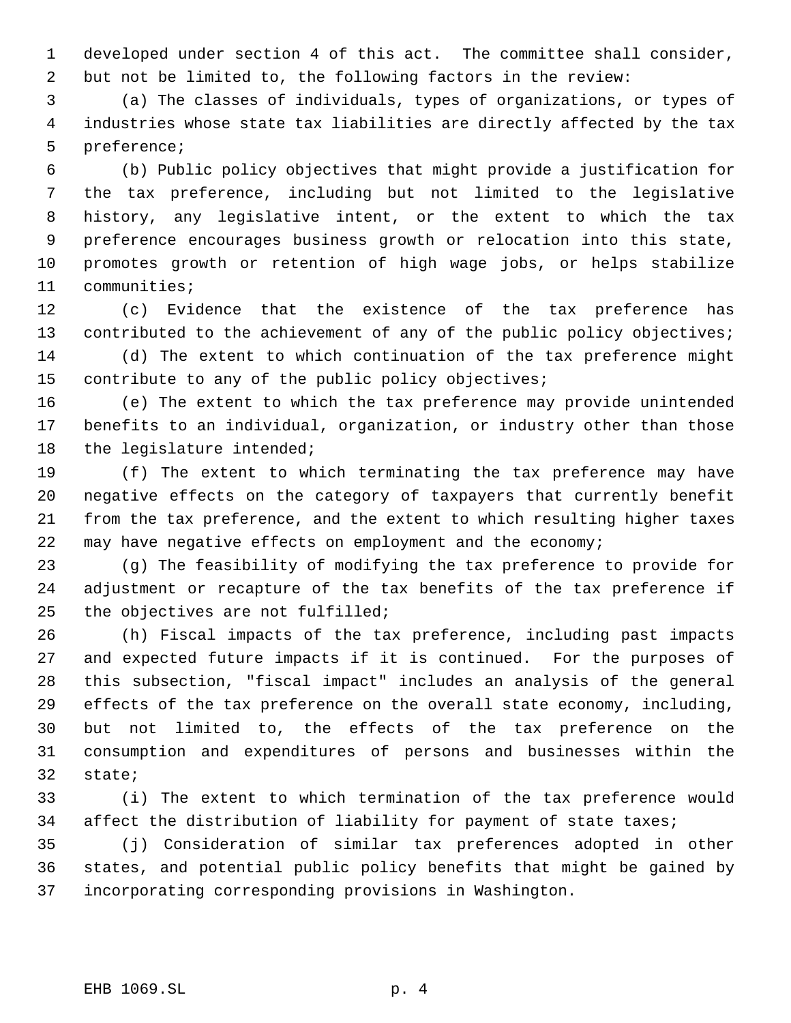developed under section 4 of this act. The committee shall consider, but not be limited to, the following factors in the review:

 (a) The classes of individuals, types of organizations, or types of industries whose state tax liabilities are directly affected by the tax preference;

 (b) Public policy objectives that might provide a justification for the tax preference, including but not limited to the legislative history, any legislative intent, or the extent to which the tax preference encourages business growth or relocation into this state, promotes growth or retention of high wage jobs, or helps stabilize communities;

 (c) Evidence that the existence of the tax preference has 13 contributed to the achievement of any of the public policy objectives; (d) The extent to which continuation of the tax preference might contribute to any of the public policy objectives;

 (e) The extent to which the tax preference may provide unintended benefits to an individual, organization, or industry other than those 18 the legislature intended;

 (f) The extent to which terminating the tax preference may have negative effects on the category of taxpayers that currently benefit from the tax preference, and the extent to which resulting higher taxes may have negative effects on employment and the economy;

 (g) The feasibility of modifying the tax preference to provide for adjustment or recapture of the tax benefits of the tax preference if the objectives are not fulfilled;

 (h) Fiscal impacts of the tax preference, including past impacts and expected future impacts if it is continued. For the purposes of this subsection, "fiscal impact" includes an analysis of the general effects of the tax preference on the overall state economy, including, but not limited to, the effects of the tax preference on the consumption and expenditures of persons and businesses within the state;

 (i) The extent to which termination of the tax preference would 34 affect the distribution of liability for payment of state taxes;

 (j) Consideration of similar tax preferences adopted in other states, and potential public policy benefits that might be gained by incorporating corresponding provisions in Washington.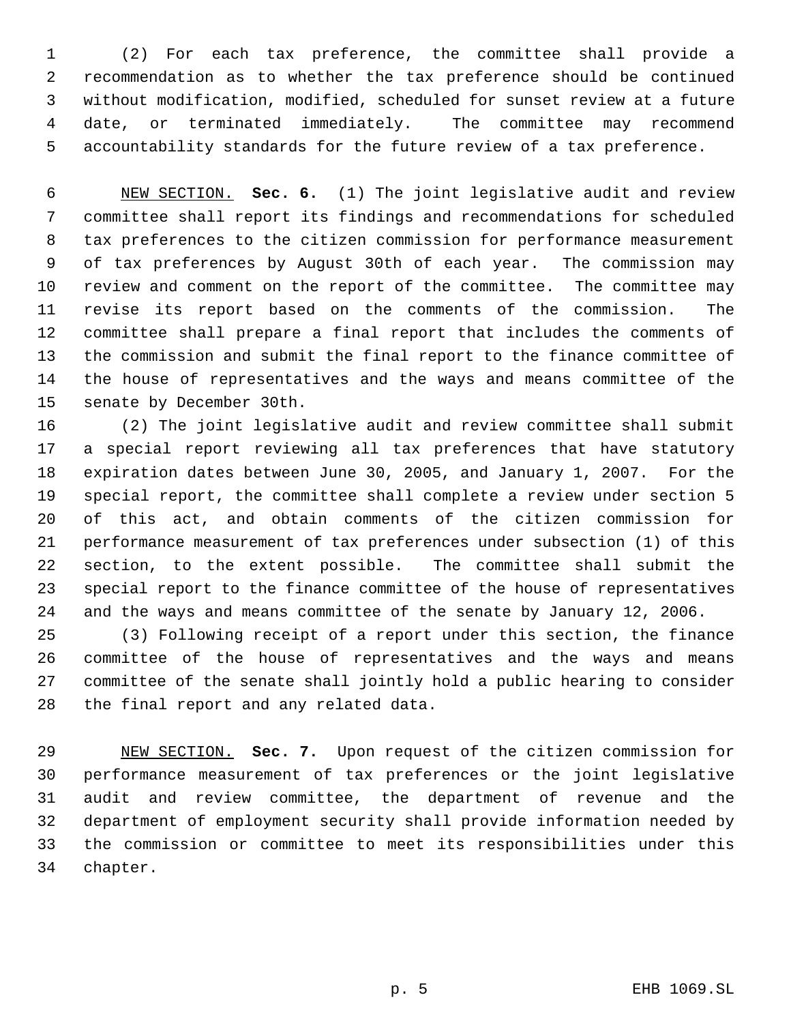(2) For each tax preference, the committee shall provide a recommendation as to whether the tax preference should be continued without modification, modified, scheduled for sunset review at a future date, or terminated immediately. The committee may recommend accountability standards for the future review of a tax preference.

 NEW SECTION. **Sec. 6.** (1) The joint legislative audit and review committee shall report its findings and recommendations for scheduled tax preferences to the citizen commission for performance measurement of tax preferences by August 30th of each year. The commission may review and comment on the report of the committee. The committee may revise its report based on the comments of the commission. The committee shall prepare a final report that includes the comments of the commission and submit the final report to the finance committee of the house of representatives and the ways and means committee of the senate by December 30th.

 (2) The joint legislative audit and review committee shall submit a special report reviewing all tax preferences that have statutory expiration dates between June 30, 2005, and January 1, 2007. For the special report, the committee shall complete a review under section 5 of this act, and obtain comments of the citizen commission for performance measurement of tax preferences under subsection (1) of this section, to the extent possible. The committee shall submit the special report to the finance committee of the house of representatives and the ways and means committee of the senate by January 12, 2006.

 (3) Following receipt of a report under this section, the finance committee of the house of representatives and the ways and means committee of the senate shall jointly hold a public hearing to consider the final report and any related data.

 NEW SECTION. **Sec. 7.** Upon request of the citizen commission for performance measurement of tax preferences or the joint legislative audit and review committee, the department of revenue and the department of employment security shall provide information needed by the commission or committee to meet its responsibilities under this chapter.